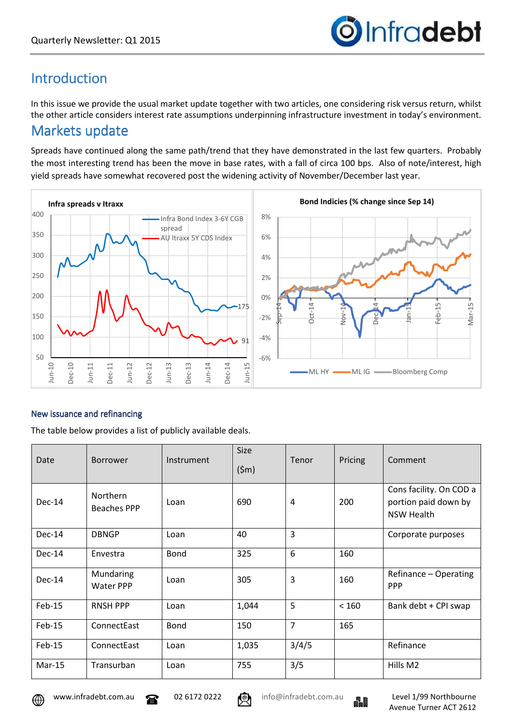

## Introduction

In this issue we provide the usual market update together with two articles, one considering risk versus return, whilst the other article considers interest rate assumptions underpinning infrastructure investment in today's environment.

## Markets update

Spreads have continued along the same path/trend that they have demonstrated in the last few quarters. Probably the most interesting trend has been the move in base rates, with a fall of circa 100 bps. Also of note/interest, high yield spreads have somewhat recovered post the widening activity of November/December last year.



#### New issuance and refinancing

The table below provides a list of publicly available deals.

| Date     | Borrower                              | Instrument | Size<br>$(\$m)$ | Tenor          | Pricing | Comment                                                              |
|----------|---------------------------------------|------------|-----------------|----------------|---------|----------------------------------------------------------------------|
| Dec-14   | <b>Northern</b><br><b>Beaches PPP</b> | Loan       | 690             | 4              | 200     | Cons facility. On COD a<br>portion paid down by<br><b>NSW Health</b> |
| Dec-14   | <b>DBNGP</b>                          | Loan       | 40              | 3              |         | Corporate purposes                                                   |
| Dec-14   | Envestra                              | Bond       | 325             | 6              | 160     |                                                                      |
| Dec-14   | Mundaring<br>Water PPP                | Loan       | 305             | 3              | 160     | Refinance - Operating<br><b>PPP</b>                                  |
| Feb-15   | <b>RNSH PPP</b>                       | Loan       | 1,044           | 5              | < 160   | Bank debt + CPI swap                                                 |
| $Feb-15$ | ConnectEast                           | Bond       | 150             | $\overline{7}$ | 165     |                                                                      |
| $Feb-15$ | ConnectEast                           | Loan       | 1,035           | 3/4/5          |         | Refinance                                                            |
| $Mar-15$ | Transurban                            | Loan       | 755             | 3/5            |         | Hills M2                                                             |





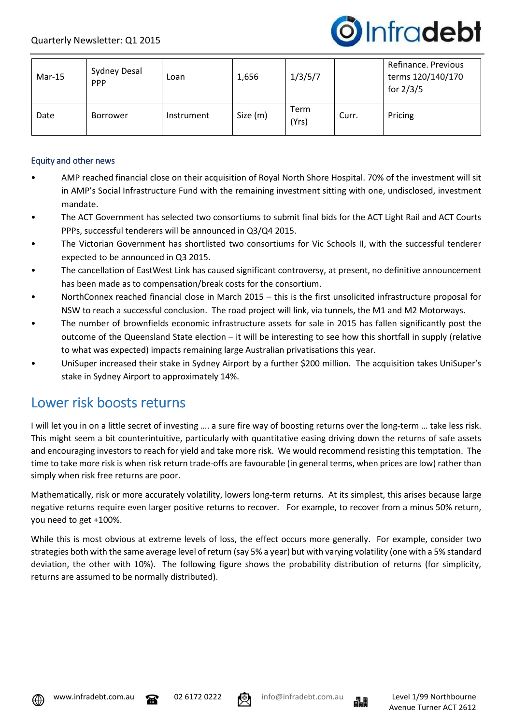

| $Mar-15$ | Sydney Desal<br><b>PPP</b> | Loan       | 1,656    | 1/3/5/7              |       | Refinance, Previous<br>terms 120/140/170<br>for $2/3/5$ |
|----------|----------------------------|------------|----------|----------------------|-------|---------------------------------------------------------|
| Date     | Borrower                   | Instrument | Size (m) | <b>Term</b><br>(Yrs) | Curr. | Pricing                                                 |

#### Equity and other news

- AMP reached financial close on their acquisition of Royal North Shore Hospital. 70% of the investment will sit in AMP's Social Infrastructure Fund with the remaining investment sitting with one, undisclosed, investment mandate.
- The ACT Government has selected two consortiums to submit final bids for the ACT Light Rail and ACT Courts PPPs, successful tenderers will be announced in Q3/Q4 2015.
- The Victorian Government has shortlisted two consortiums for Vic Schools II, with the successful tenderer expected to be announced in Q3 2015.
- The cancellation of EastWest Link has caused significant controversy, at present, no definitive announcement has been made as to compensation/break costs for the consortium.
- NorthConnex reached financial close in March 2015 this is the first unsolicited infrastructure proposal for NSW to reach a successful conclusion. The road project will link, via tunnels, the M1 and M2 Motorways.
- The number of brownfields economic infrastructure assets for sale in 2015 has fallen significantly post the outcome of the Queensland State election – it will be interesting to see how this shortfall in supply (relative to what was expected) impacts remaining large Australian privatisations this year.
- UniSuper increased their stake in Sydney Airport by a further \$200 million. The acquisition takes UniSuper's stake in Sydney Airport to approximately 14%.

### Lower risk boosts returns

I will let you in on a little secret of investing …. a sure fire way of boosting returns over the long-term … take less risk. This might seem a bit counterintuitive, particularly with quantitative easing driving down the returns of safe assets and encouraging investors to reach for yield and take more risk. We would recommend resisting this temptation. The time to take more risk is when risk return trade-offs are favourable (in general terms, when prices are low) rather than simply when risk free returns are poor.

Mathematically, risk or more accurately volatility, lowers long-term returns. At its simplest, this arises because large negative returns require even larger positive returns to recover. For example, to recover from a minus 50% return, you need to get +100%.

While this is most obvious at extreme levels of loss, the effect occurs more generally. For example, consider two strategies both with the same average level of return (say 5% a year) but with varying volatility (one with a 5% standard deviation, the other with 10%). The following figure shows the probability distribution of returns (for simplicity, returns are assumed to be normally distributed).







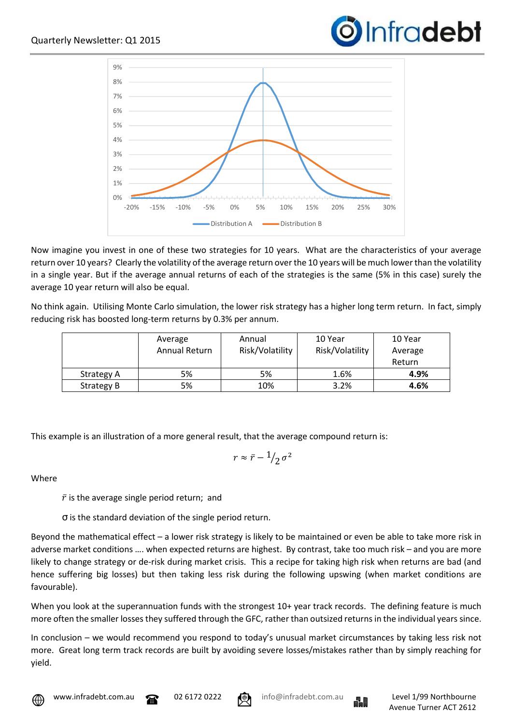



Now imagine you invest in one of these two strategies for 10 years. What are the characteristics of your average return over 10 years? Clearly the volatility of the average return over the 10 years will be much lower than the volatility in a single year. But if the average annual returns of each of the strategies is the same (5% in this case) surely the average 10 year return will also be equal.

No think again. Utilising Monte Carlo simulation, the lower risk strategy has a higher long term return. In fact, simply reducing risk has boosted long-term returns by 0.3% per annum.

|            | Average<br>Annual Return | Annual<br>Risk/Volatility | 10 Year<br>Risk/Volatility | 10 Year<br>Average<br>Return |
|------------|--------------------------|---------------------------|----------------------------|------------------------------|
| Strategy A | 5%                       | 5%                        | 1.6%                       | 4.9%                         |
| Strategy B | 5%                       | 10%                       | 3.2%                       | 4.6%                         |

This example is an illustration of a more general result, that the average compound return is:

$$
r\approx \bar{r}-\frac{1}{2}\sigma^2
$$

**Where** 

 $\bar{r}$  is the average single period return; and

σ is the standard deviation of the single period return.

Beyond the mathematical effect – a lower risk strategy is likely to be maintained or even be able to take more risk in adverse market conditions …. when expected returns are highest. By contrast, take too much risk – and you are more likely to change strategy or de-risk during market crisis. This a recipe for taking high risk when returns are bad (and hence suffering big losses) but then taking less risk during the following upswing (when market conditions are favourable).

When you look at the superannuation funds with the strongest 10+ year track records. The defining feature is much more often the smaller losses they suffered through the GFC, rather than outsized returns in the individual years since.

In conclusion – we would recommend you respond to today's unusual market circumstances by taking less risk not more. Great long term track records are built by avoiding severe losses/mistakes rather than by simply reaching for yield.





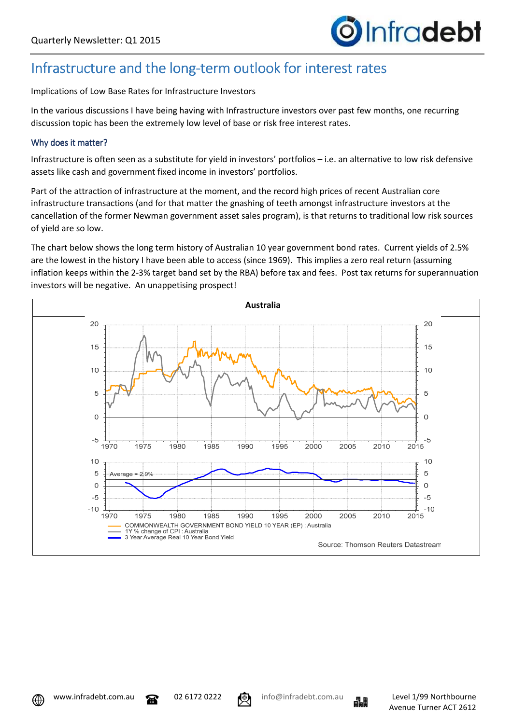

## Infrastructure and the long-term outlook for interest rates

Implications of Low Base Rates for Infrastructure Investors

In the various discussions I have being having with Infrastructure investors over past few months, one recurring discussion topic has been the extremely low level of base or risk free interest rates.

#### Why does it matter?

Infrastructure is often seen as a substitute for yield in investors' portfolios – i.e. an alternative to low risk defensive assets like cash and government fixed income in investors' portfolios.

Part of the attraction of infrastructure at the moment, and the record high prices of recent Australian core infrastructure transactions (and for that matter the gnashing of teeth amongst infrastructure investors at the cancellation of the former Newman government asset sales program), is that returns to traditional low risk sources of yield are so low.

The chart below shows the long term history of Australian 10 year government bond rates. Current yields of 2.5% are the lowest in the history I have been able to access (since 1969). This implies a zero real return (assuming inflation keeps within the 2-3% target band set by the RBA) before tax and fees. Post tax returns for superannuation investors will be negative. An unappetising prospect!



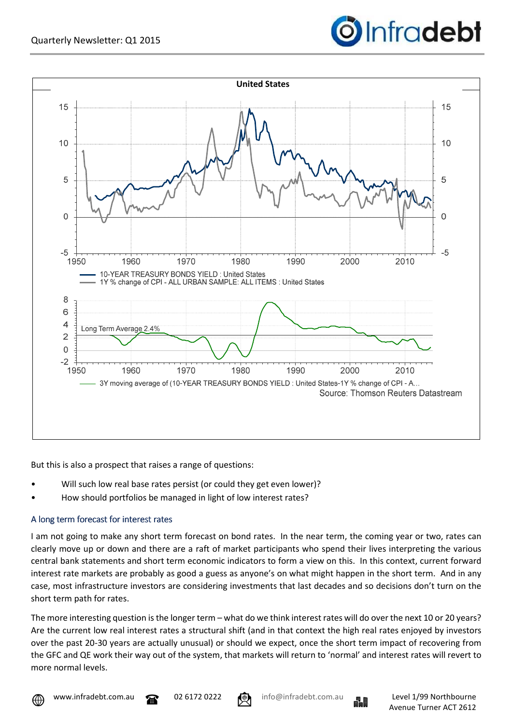



But this is also a prospect that raises a range of questions:

- Will such low real base rates persist (or could they get even lower)?
- How should portfolios be managed in light of low interest rates?

#### A long term forecast for interest rates

I am not going to make any short term forecast on bond rates. In the near term, the coming year or two, rates can clearly move up or down and there are a raft of market participants who spend their lives interpreting the various central bank statements and short term economic indicators to form a view on this. In this context, current forward interest rate markets are probably as good a guess as anyone's on what might happen in the short term. And in any case, most infrastructure investors are considering investments that last decades and so decisions don't turn on the short term path for rates.

The more interesting question is the longer term – what do we think interest rates will do over the next 10 or 20 years? Are the current low real interest rates a structural shift (and in that context the high real rates enjoyed by investors over the past 20-30 years are actually unusual) or should we expect, once the short term impact of recovering from the GFC and QE work their way out of the system, that markets will return to 'normal' and interest rates will revert to more normal levels.





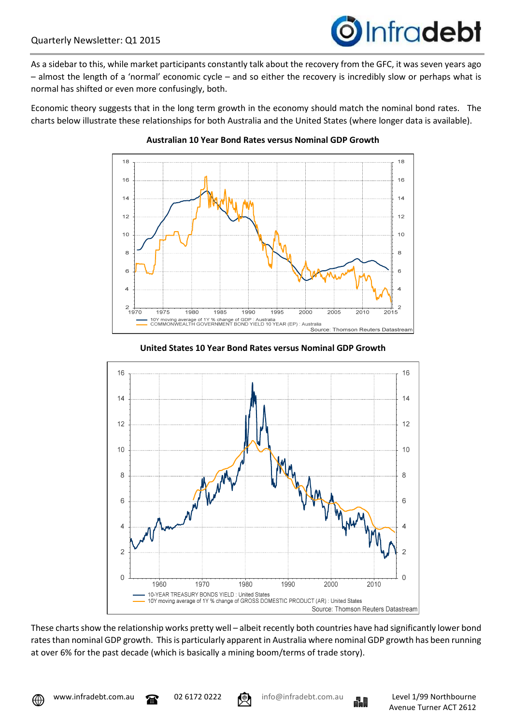# **O**Infradebt

As a sidebar to this, while market participants constantly talk about the recovery from the GFC, it was seven years ago – almost the length of a 'normal' economic cycle – and so either the recovery is incredibly slow or perhaps what is normal has shifted or even more confusingly, both.

Economic theory suggests that in the long term growth in the economy should match the nominal bond rates. The charts below illustrate these relationships for both Australia and the United States (where longer data is available).



#### **Australian 10 Year Bond Rates versus Nominal GDP Growth**





These charts show the relationship works pretty well – albeit recently both countries have had significantly lower bond rates than nominal GDP growth. This is particularly apparent in Australia where nominal GDP growth has been running at over 6% for the past decade (which is basically a mining boom/terms of trade story).



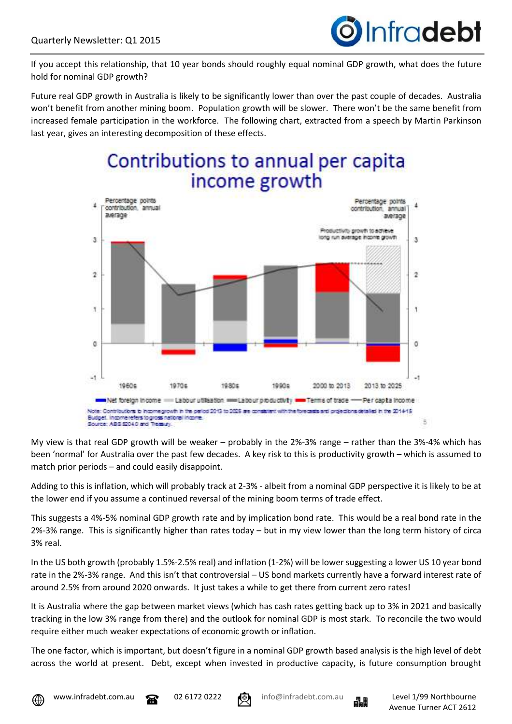

If you accept this relationship, that 10 year bonds should roughly equal nominal GDP growth, what does the future hold for nominal GDP growth?

Future real GDP growth in Australia is likely to be significantly lower than over the past couple of decades. Australia won't benefit from another mining boom. Population growth will be slower. There won't be the same benefit from increased female participation in the workforce. The following chart, extracted from a speech by Martin Parkinson last year, gives an interesting decomposition of these effects.

## Contributions to annual per capita income growth



My view is that real GDP growth will be weaker – probably in the 2%-3% range – rather than the 3%-4% which has been 'normal' for Australia over the past few decades. A key risk to this is productivity growth – which is assumed to match prior periods – and could easily disappoint.

Adding to this is inflation, which will probably track at 2-3% - albeit from a nominal GDP perspective it is likely to be at the lower end if you assume a continued reversal of the mining boom terms of trade effect.

This suggests a 4%-5% nominal GDP growth rate and by implication bond rate. This would be a real bond rate in the 2%-3% range. This is significantly higher than rates today – but in my view lower than the long term history of circa 3% real.

In the US both growth (probably 1.5%-2.5% real) and inflation (1-2%) will be lower suggesting a lower US 10 year bond rate in the 2%-3% range. And this isn't that controversial – US bond markets currently have a forward interest rate of around 2.5% from around 2020 onwards. It just takes a while to get there from current zero rates!

It is Australia where the gap between market views (which has cash rates getting back up to 3% in 2021 and basically tracking in the low 3% range from there) and the outlook for nominal GDP is most stark. To reconcile the two would require either much weaker expectations of economic growth or inflation.

The one factor, which is important, but doesn't figure in a nominal GDP growth based analysis is the high level of debt across the world at present. Debt, except when invested in productive capacity, is future consumption brought









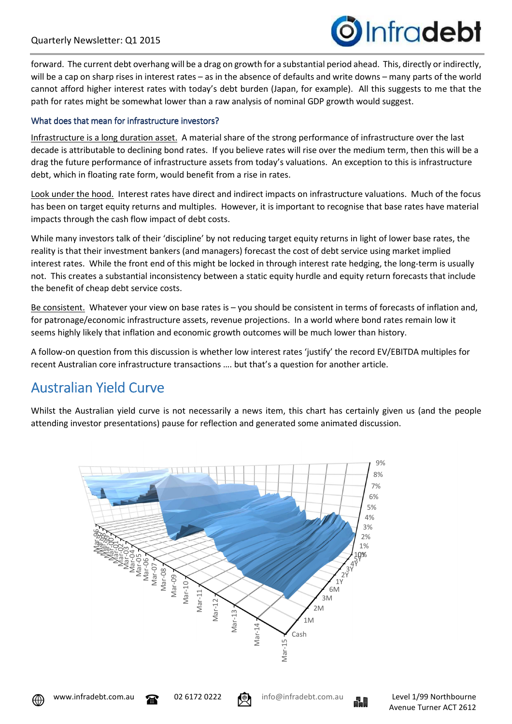

forward. The current debt overhang will be a drag on growth for a substantial period ahead. This, directly or indirectly, will be a cap on sharp rises in interest rates – as in the absence of defaults and write downs – many parts of the world cannot afford higher interest rates with today's debt burden (Japan, for example). All this suggests to me that the path for rates might be somewhat lower than a raw analysis of nominal GDP growth would suggest.

#### What does that mean for infrastructure investors?

Infrastructure is a long duration asset. A material share of the strong performance of infrastructure over the last decade is attributable to declining bond rates. If you believe rates will rise over the medium term, then this will be a drag the future performance of infrastructure assets from today's valuations. An exception to this is infrastructure debt, which in floating rate form, would benefit from a rise in rates.

Look under the hood. Interest rates have direct and indirect impacts on infrastructure valuations. Much of the focus has been on target equity returns and multiples. However, it is important to recognise that base rates have material impacts through the cash flow impact of debt costs.

While many investors talk of their 'discipline' by not reducing target equity returns in light of lower base rates, the reality is that their investment bankers (and managers) forecast the cost of debt service using market implied interest rates. While the front end of this might be locked in through interest rate hedging, the long-term is usually not. This creates a substantial inconsistency between a static equity hurdle and equity return forecasts that include the benefit of cheap debt service costs.

Be consistent. Whatever your view on base rates is – you should be consistent in terms of forecasts of inflation and, for patronage/economic infrastructure assets, revenue projections. In a world where bond rates remain low it seems highly likely that inflation and economic growth outcomes will be much lower than history.

A follow-on question from this discussion is whether low interest rates 'justify' the record EV/EBITDA multiples for recent Australian core infrastructure transactions …. but that's a question for another article.

## **Australian Yield Curve**

Whilst the Australian yield curve is not necessarily a news item, this chart has certainly given us (and the people attending investor presentations) pause for reflection and generated some animated discussion.